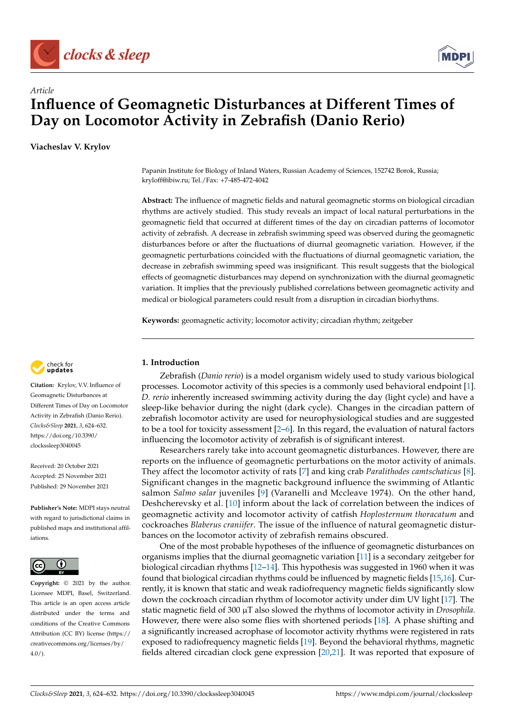



# *Article* **Influence of Geomagnetic Disturbances at Different Times of Day on Locomotor Activity in Zebrafish (Danio Rerio)**

**Viacheslav V. Krylov**

Papanin Institute for Biology of Inland Waters, Russian Academy of Sciences, 152742 Borok, Russia; kryloff@ibiw.ru; Tel./Fax: +7-485-472-4042

**Abstract:** The influence of magnetic fields and natural geomagnetic storms on biological circadian rhythms are actively studied. This study reveals an impact of local natural perturbations in the geomagnetic field that occurred at different times of the day on circadian patterns of locomotor activity of zebrafish. A decrease in zebrafish swimming speed was observed during the geomagnetic disturbances before or after the fluctuations of diurnal geomagnetic variation. However, if the geomagnetic perturbations coincided with the fluctuations of diurnal geomagnetic variation, the decrease in zebrafish swimming speed was insignificant. This result suggests that the biological effects of geomagnetic disturbances may depend on synchronization with the diurnal geomagnetic variation. It implies that the previously published correlations between geomagnetic activity and medical or biological parameters could result from a disruption in circadian biorhythms.

**Keywords:** geomagnetic activity; locomotor activity; circadian rhythm; zeitgeber



**Citation:** Krylov, V.V. Influence of Geomagnetic Disturbances at Different Times of Day on Locomotor Activity in Zebrafish (Danio Rerio). *Clocks&Sleep* **2021**, *3*, 624–632. [https://doi.org/10.3390/](https://doi.org/10.3390/clockssleep3040045) [clockssleep3040045](https://doi.org/10.3390/clockssleep3040045)

Received: 20 October 2021 Accepted: 25 November 2021 Published: 29 November 2021

**Publisher's Note:** MDPI stays neutral with regard to jurisdictional claims in published maps and institutional affiliations.



**Copyright:** © 2021 by the author. Licensee MDPI, Basel, Switzerland. This article is an open access article distributed under the terms and conditions of the Creative Commons Attribution (CC BY) license (https:/[/](https://creativecommons.org/licenses/by/4.0/) [creativecommons.org/licenses/by/](https://creativecommons.org/licenses/by/4.0/) 4.0/).

## **1. Introduction**

Zebrafish (*Danio rerio*) is a model organism widely used to study various biological processes. Locomotor activity of this species is a commonly used behavioral endpoint [\[1\]](#page-6-0). *D. rerio* inherently increased swimming activity during the day (light cycle) and have a sleep-like behavior during the night (dark cycle). Changes in the circadian pattern of zebrafish locomotor activity are used for neurophysiological studies and are suggested to be a tool for toxicity assessment [\[2–](#page-6-1)[6\]](#page-7-0). In this regard, the evaluation of natural factors influencing the locomotor activity of zebrafish is of significant interest.

Researchers rarely take into account geomagnetic disturbances. However, there are reports on the influence of geomagnetic perturbations on the motor activity of animals. They affect the locomotor activity of rats [\[7\]](#page-7-1) and king crab *Paralithodes camtschaticus* [\[8\]](#page-7-2). Significant changes in the magnetic background influence the swimming of Atlantic salmon *Salmo salar* juveniles [\[9\]](#page-7-3) (Varanelli and Mccleave 1974). On the other hand, Deshcherevsky et al. [\[10\]](#page-7-4) inform about the lack of correlation between the indices of geomagnetic activity and locomotor activity of catfish *Hoplosternum thoracatum* and cockroaches *Blaberus craniifer*. The issue of the influence of natural geomagnetic disturbances on the locomotor activity of zebrafish remains obscured.

One of the most probable hypotheses of the influence of geomagnetic disturbances on organisms implies that the diurnal geomagnetic variation [\[11\]](#page-7-5) is a secondary zeitgeber for biological circadian rhythms [\[12–](#page-7-6)[14\]](#page-7-7). This hypothesis was suggested in 1960 when it was found that biological circadian rhythms could be influenced by magnetic fields [\[15,](#page-7-8)[16\]](#page-7-9). Currently, it is known that static and weak radiofrequency magnetic fields significantly slow down the cockroach circadian rhythm of locomotor activity under dim UV light [\[17\]](#page-7-10). The static magnetic field of 300 µT also slowed the rhythms of locomotor activity in *Drosophila.* However, there were also some flies with shortened periods [\[18\]](#page-7-11). A phase shifting and a significantly increased acrophase of locomotor activity rhythms were registered in rats exposed to radiofrequency magnetic fields [\[19\]](#page-7-12). Beyond the behavioral rhythms, magnetic fields altered circadian clock gene expression [\[20](#page-7-13)[,21\]](#page-7-14). It was reported that exposure of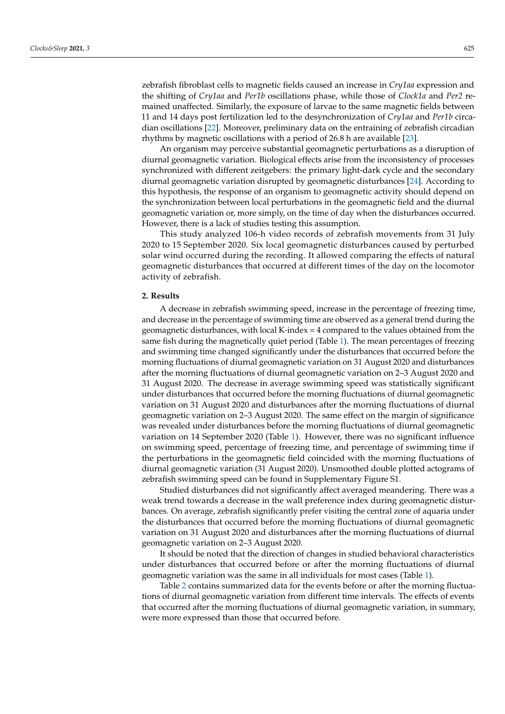zebrafish fibroblast cells to magnetic fields caused an increase in *Cry1aa* expression and the shifting of *Cry1aa* and *Per1b* oscillations phase, while those of *Clock1a* and *Per2* remained unaffected. Similarly, the exposure of larvae to the same magnetic fields between 11 and 14 days post fertilization led to the desynchronization of *Cry1aa* and *Per1b* circadian oscillations [\[22\]](#page-7-15). Moreover, preliminary data on the entraining of zebrafish circadian rhythms by magnetic oscillations with a period of 26.8 h are available [\[23\]](#page-7-16).

An organism may perceive substantial geomagnetic perturbations as a disruption of diurnal geomagnetic variation. Biological effects arise from the inconsistency of processes synchronized with different zeitgebers: the primary light-dark cycle and the secondary diurnal geomagnetic variation disrupted by geomagnetic disturbances [\[24\]](#page-7-17). According to this hypothesis, the response of an organism to geomagnetic activity should depend on the synchronization between local perturbations in the geomagnetic field and the diurnal geomagnetic variation or, more simply, on the time of day when the disturbances occurred. However, there is a lack of studies testing this assumption.

This study analyzed 106-h video records of zebrafish movements from 31 July 2020 to 15 September 2020. Six local geomagnetic disturbances caused by perturbed solar wind occurred during the recording. It allowed comparing the effects of natural geomagnetic disturbances that occurred at different times of the day on the locomotor activity of zebrafish.

## **2. Results**

A decrease in zebrafish swimming speed, increase in the percentage of freezing time, and decrease in the percentage of swimming time are observed as a general trend during the geomagnetic disturbances, with local K-index = 4 compared to the values obtained from the same fish during the magnetically quiet period (Table [1\)](#page-2-0). The mean percentages of freezing and swimming time changed significantly under the disturbances that occurred before the morning fluctuations of diurnal geomagnetic variation on 31 August 2020 and disturbances after the morning fluctuations of diurnal geomagnetic variation on 2–3 August 2020 and 31 August 2020. The decrease in average swimming speed was statistically significant under disturbances that occurred before the morning fluctuations of diurnal geomagnetic variation on 31 August 2020 and disturbances after the morning fluctuations of diurnal geomagnetic variation on 2–3 August 2020. The same effect on the margin of significance was revealed under disturbances before the morning fluctuations of diurnal geomagnetic variation on 14 September 2020 (Table [1\)](#page-2-0). However, there was no significant influence on swimming speed, percentage of freezing time, and percentage of swimming time if the perturbations in the geomagnetic field coincided with the morning fluctuations of diurnal geomagnetic variation (31 August 2020). Unsmoothed double plotted actograms of zebrafish swimming speed can be found in Supplementary Figure S1.

Studied disturbances did not significantly affect averaged meandering. There was a weak trend towards a decrease in the wall preference index during geomagnetic disturbances. On average, zebrafish significantly prefer visiting the central zone of aquaria under the disturbances that occurred before the morning fluctuations of diurnal geomagnetic variation on 31 August 2020 and disturbances after the morning fluctuations of diurnal geomagnetic variation on 2–3 August 2020.

It should be noted that the direction of changes in studied behavioral characteristics under disturbances that occurred before or after the morning fluctuations of diurnal geomagnetic variation was the same in all individuals for most cases (Table [1\)](#page-2-0).

Table [2](#page-3-0) contains summarized data for the events before or after the morning fluctuations of diurnal geomagnetic variation from different time intervals. The effects of events that occurred after the morning fluctuations of diurnal geomagnetic variation, in summary, were more expressed than those that occurred before.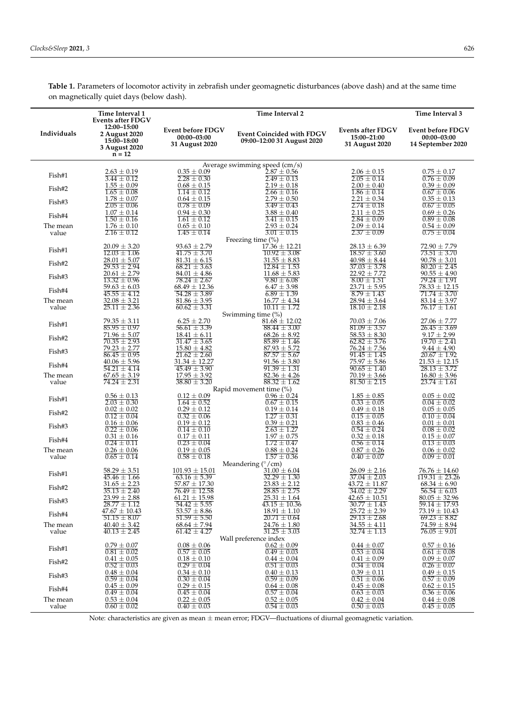**Individuals Time Interval 1** Time Interval 2 **Time Interval 2 Time Interval 3 Events after FDGV 12:00–15:00 2 August 2020 15:00–18:00 3 August 2020**  $n = 12$ **Event before FDGV 00:00–03:00 31 August 2020 Event Coincided with FDGV 09:00–12:00 31 August 2020 Events after FDGV 15:00–21:00 31 August 2020 Event before FDGV 00:00–03:00 14 September 2020** Average swimming speed  $\overline{\text{(cm/s)}}$ Fish#1  $\begin{array}{r} 2.63 \pm 0.19 \\ 3.44 \pm 0.12 \\ \end{array}$ <br>Fish#2  $\begin{array}{r} 1.55 \pm 0.09 \\ 1.65 \pm 0.08 \end{array}$  $0.35 + 0.09$  $\frac{2.28 \pm 0.30}{0.68 \pm 0.15}$  $2.87 \pm 0.56$  $2.49 \pm 0.13$  $2.06 + 0.15$  $2.05 \pm 0.14$  $0.75 + 0.17$  $\frac{0.76 \pm 0.09}{0.39 \pm 0.09}$ Fish#2  $\frac{1.65 \pm 0.08}{1.65 \pm 0.07}$ <br>Fish#3  $\frac{1.78 \pm 0.07}{2.05 \pm 0.06}$  $\pm$  0.15  $1.14 \pm 0.12$ <br> $0.64 \pm 0.15$  $2.19 \pm 0.18$  $\frac{2.66 \pm 0.16}{2.79 \pm 0.50}$  $2.00 \pm 0.40$  $\frac{1.86 \pm 0.14}{2.21 \pm 0.34}$  $\frac{0.67 \pm 0.06}{0.35 \pm 0.13}$  $2.05 \pm 0.06$  $\frac{0.78 \pm 0.09}{0.94 \pm 0.30}$ <br> $\frac{1.61 \pm 0.12}{1.61 \pm 0.12}$  $\frac{24}{3.49 \pm 0.43}$  $\frac{2.21}{2.74 \pm 0.18}$  $0.67 \pm 0.05$ Fish#4  $\frac{1.07 \pm 0.14}{1.50 \pm 0.16}$  $\frac{3.88 \pm 0.40}{3.41 \pm 0.15}$  $\frac{2.11 \pm 0.25}{2.84 \pm 0.09}$  $0.69 \pm 0.26$  $\frac{0.89 \pm 0.08}{0.89 \pm 0.08}$ The mean value  $1.76 \pm 0.10$  $2.16 \pm 0.12$  $0.65 \pm 0.10$  $1.45 \pm 0.14$  $2.93 \pm 0.24$  $3.01 \pm 0.15$  $2.09 \pm 0.14$  $2.37 \pm 0.09$  $0.54 \pm 0.09$  $\overline{0.75 \pm 0.04}$ Freezing time  $\binom{\%}{0}$ <br>17.36  $\pm$  12.21 Fish#1  $\frac{20.09 \pm 3.20}{12.03 \pm 1.06}$  $93.63 + 2.79$  $\overline{41.75 \pm 3.70}$  $\frac{1}{10.92 \pm 3.08}$  $28.13 \pm 6.39$  $\frac{28.15}{18.57 \pm 3.60}$  $72.90 + 7.79$  $73.51 \pm 3.70$ Fish#2  $\frac{28.01 \pm 5.07}{29.53 \pm 2.94}$  $\frac{81.31 \pm 6.15}{68.21 \pm 3.63}$  $\frac{31.55 \pm 8.83}{12.84 \pm 1.53}$  $\frac{40.98 \pm 8.44}{37.03 \pm 3.78}$  $\frac{90.78 \pm 3.01}{80.20 \pm 2.45}$ Fish#3  $\frac{20.61 \pm 2.79}{1}$  $13.32 \pm 0.96$  $84.01 \pm 4.86$  $78.24 \pm 2.67$  $11.68 \pm 5.83$  $9.80 \pm 6.08$  $22.92 \pm 7.72$  $\frac{8.00 \pm 1.51}{23.71 \pm 5.9}$  $90.55 \pm 4.90$  $79.24 \pm 1.91$ Fish#4  $\frac{59.63 \pm 6.03}{45.55 \pm 4.12}$  $\frac{33.35}{45.55 \pm 4.12}$  $68.49 \pm 12.36$  $54.28 + 3.89$  $6.47 \pm 3.98$  $\frac{6.47 \pm 0.98}{6.89 \pm 1.39}$ <br>16.77 ± 4.34 5.95  $8.79 + 1.43$  $\frac{78.33 \pm 12.15}{71.74 \pm 3.70}$ The mean value  $\frac{32.08 \pm 3.21}{25.11 \pm 2.36}$  $\frac{81.86 \pm 3.95}{60.62 \pm 3.31}$  $\frac{16.77 \pm 4.34}{10.11 \pm 1.72}$  $28.94 \pm 3.64$  $18.10 \pm 2.18$  $\frac{83.14 \pm 3.97}{76.17 \pm 1.61}$ Swimming time (%) Fish#1  $\frac{79.35 \pm 3.11}{85.95 \pm 0.97}$  $\frac{6.25 \pm 2.70}{56.61 \pm 3.39}$  $81.68 \pm 12$  $88.44 \pm 3.00$  $70.03 \pm 7.06$  $\frac{21.09}{81.09}$  ± 3.57  $\frac{27.06 \pm 7.77}{26.45 \pm 3.69}$ Fish#2 71.96 ± 5.07<br>
70.35 ± 2.93<br>
Fish#3 79.23 ± 2.77<br>  $\frac{79.23 \pm 2.77}{86.45 + 0.95}$  $18.41 \pm 6.11$  $31.47 + 3.65$  $68.26 \pm 8.92$  $85.89 + 1.46$  $58.53 \pm 8.30$  $\frac{62.82 \pm 3.76}{76.24 \pm 7.56}$  $9.17 \pm 2.99$  $\frac{1}{19.70 \pm 2.41}$  $\frac{1}{86.45 \pm 0.95}$  $15.80 \pm 4.82$  $21.62 \pm 2.60$  $87.93 \pm 5.72$  $87.57 \pm 5.67$ <br>91.56  $\pm$  3.80  $\frac{91.45 \pm 1.45}{75.97 \pm 5.86}$  $9.44 + 4.90$  $20.67 \pm 1.92$ Fish#4  $\frac{40.06 \pm 5.96}{54.21 \pm 4.14}$  $\frac{31.34 \pm 12.27}{45.49 \pm 3.90}$  $\frac{91.56 \pm 3.80}{91.39 \pm 1.31}$  $\frac{75.97 \pm 5.86}{90.65 \pm 1.40}$  $\frac{21.53 \pm 12.15}{28.13 \pm 3.72}$ The mean value  $\frac{67.65 \pm 3.19}{ }$  $74.24 \pm 2.31$  $17.95 + 3.92$  $38.80 \pm 3.20$  $82.36 \pm 4.26$  $88.32 \pm 1.62$  $70.19 \pm 3.66$  $81.50 \pm 2.15$  $\frac{16.80 \pm 3.96}{23.74 \pm 1.61}$ Rapid movement time (%)<br> $\frac{0.96 \pm 0.24}{0.24}$ Fish#1  $\frac{0.56 \pm 0.13}{2.03 \pm 0.30}$  $0.12 \pm 0.09$  $\frac{1.64 \pm 0.52}{0.29 \pm 0.12}$  $\frac{0.67 \pm 0.15}{0.19 \pm 0.14}$  $1.85 + 0.85$  $\frac{0.33 \pm 0.05}{0.33 \pm 0.05}$  $0.05 \pm 0.02$  $\overline{0.04 \pm 0.02}$ <br>0.05  $\pm$  0.05 Fish#2  $\frac{0.02 \pm 0.02}{0.12 \pm 0.04}$  $\frac{0.29 \pm 0.12}{0.32 \pm 0.06}$  $0.19$  $1.27 \pm 0.31$  $\frac{0.49 \pm 0.18}{0.15 \pm 0.05}$  $\frac{0.05 \pm 0.05}{0.10 \pm 0.04}$ Fish#3  $\frac{0.16 \pm 0.06}{0.22 \pm 0.06}$  $0.19 \pm 0.12$  $\frac{0.14 \pm 0.10}{0.17 \pm 0.11}$  $\frac{0.39 \pm 0.21}{2.63 \pm 1.27}$  $\frac{0.83 \pm 0.46}{0.54 \pm 0.24}$  $\frac{0.01 \pm 0.01}{0.08 \pm 0.02}$ <br> $\frac{0.15 \pm 0.07}{0.07}$ Fish#4  $\frac{0.31 \pm 0.16}{0.24 \pm 0.11}$  $0.24 \pm 0.11$  $0.23 \pm 0.04$  $1.97 + 0.75$  $1.72 \pm 0.47$  $0.32 + 0.18$  $0.56 \pm 0.14$  $0.13 \pm 0.03$ The mean value  $\frac{0.26 \pm 0.06}{0.65 \pm 0.14}$  $\frac{0.19 \pm 0.05}{0.58 \pm 0.18}$  $0.88 \pm 0.24$  $1.57 \pm 0.36$  $0.87 \pm 0.26$  $0.40 \pm 0.07$  $0.06 \pm 0.02$  $0.09 \pm 0.01$ Meandering (◦/cm) Fish#1  $\frac{58.29 \pm 3.51}{45.46 \pm 1.66}$  $101.93 \pm 15.01$  $63.16 \pm 5.39$  $\frac{31.00 \pm 6.04}{32.29 \pm 1.30}$  $\frac{26.09 \pm 2.16}{37.04 \pm 2.03}$  $\frac{76.76 \pm 14.60}{119.31 \pm 23.26}$ Fish#2  $\begin{array}{r} 31.65 \pm 2.23 \\ 35.13 \pm 2.40 \\ 23.99 \pm 2.88 \\ \hline 28.77 \pm 1.12 \end{array}$  $57.87 + 17.30$  $76.49 \pm 12.58$ <br>  $61.21 \pm 15.98$ <br>  $54.42 \pm 5.55$  $23.83 + 2.12$  $28.85 \pm 2.75$  $43.72 \pm 11.87$  $34.02 \pm 2.29$  $\frac{68.34 \pm 6.90}{56.54 \pm 6.03}$  $\frac{28.77 \pm 1.12}{28.77 \pm 1.12}$  $25.31 \pm 1.64$  $\frac{15.01 \pm 10.36}{43.15 \pm 10.36}$  $\frac{21.62 \pm 21.5}{242.65 \pm 10.51}$  $\frac{20.77 \pm 1.63}{30.77 \pm 1.43}$  $80.05 \pm 32.96$  $\frac{56.66}{59.14 \pm 17.93}$ Fish#4  $\frac{47.67 \pm 10.43}{51.15 \pm 0.07}$  $\frac{1}{51.15} \pm 8.07$  $\frac{53.57 \pm 8.86}{51.59 \pm 5.50}$  $\frac{18.91 \pm 1.10}{20.71 \pm 0.64}$  $\frac{25.72 \pm 2.39}{29.13 \pm 2.68}$  $\frac{73.19 \pm 10.43}{69.23 \pm 8.82}$ The mean value  $\frac{40.40 \pm 3.42}{40.13 \pm 2.45}$  $68.64 \pm 7.94$  $61.42 \pm 4.27$  $\frac{24.76 \pm 1.80}{31.25 \pm 3.03}$  $\frac{34.55 \pm 4.11}{32.74 \pm 1.13}$  $\frac{74.59 \pm 8.94}{76.05 \pm 9.01}$ Wall preference index Fish#1  $\frac{0.79 \pm 0.07}{0.81 \pm 0.02}$  $\frac{0.08 \pm 0.06}{0.57 \pm 0.05}$  $\frac{0.62 \pm 0.09}{0.49 \pm 0.03}$  $0.44 + 0.07$  $\frac{0.11 \pm 0.07}{0.53 \pm 0.04}$  $\frac{0.57 \pm 0.16}{0.61 \pm 0.08}$ Fish#2  $\frac{0.41 \pm 0.05}{0.52 + 0.02}$  $0.52 \pm 0.03$  $0.18 \pm 0.10$  $\frac{0.29 \pm 0.04}{0.34 \pm 0.10}$  $\frac{0.44 \pm 0.04}{0.51 \pm 0.03}$  $0.41 \pm 0.09$  $\frac{0.34 \pm 0.04}{0.39 \pm 0.11}$  $0.09 + 0.07$  $0.26 + 0.07$ Fish#3  $\frac{0.48 \pm 0.04}{0.59 \pm 0.04}$  $\frac{0.34 \pm 0.10}{0.30 \pm 0.04}$  $\frac{0.40 \pm 0.13}{0.59 \pm 0.09}$  $\frac{0.39 \pm 0.11}{0.51 \pm 0.06}$  $\frac{0.49 \pm 0.15}{0.57 \pm 0.09}$ Fish#4  $0.45 \pm 0.09$  $\overline{0.49 \pm 0.04}$  $0.29 \pm 0.15$  $\overline{0.45 \pm 0.04}$  $0.64 \pm 0.08$  $0.57 \pm 0.04$  $0.45 \pm 0.08$  $0.63 \pm 0.03$  $0.62 \pm 0.15$  $0.36 \pm 0.06$ The mean value  $0.53 \pm 0.04$  $0.60 + 0.02$  $0.22 \pm 0.05$  $0.40 \pm 0.03$  $0.52 \pm 0.05$  $0.54 \pm 0.03$  $0.42 \pm 0.04$  $0.50 + 0.03$  $0.44 \pm 0.08$  $0.45 \pm 0.05$ 

<span id="page-2-0"></span>**Table 1.** Parameters of locomotor activity in zebrafish under geomagnetic disturbances (above dash) and at the same time on magnetically quiet days (below dash).

Note: characteristics are given as mean  $\pm$  mean error; FDGV—fluctuations of diurnal geomagnetic variation.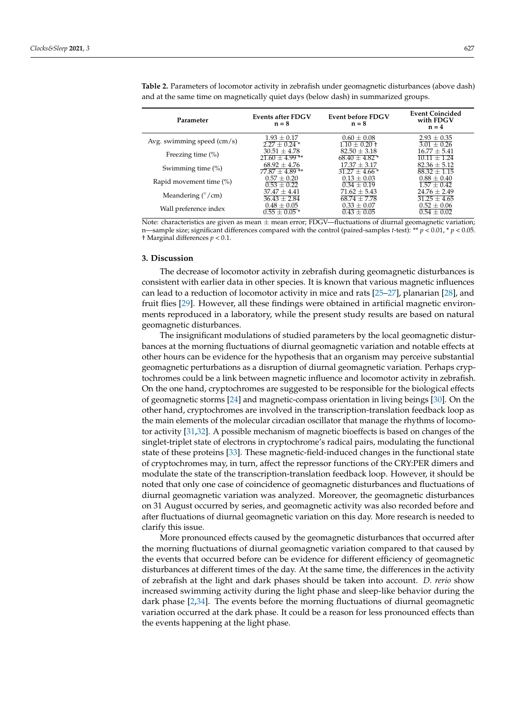| Parameter                                        | <b>Events after FDGV</b><br>$n = 8$ | <b>Event before FDGV</b><br>$n = 8$ | <b>Event Coincided</b><br>with FDGV<br>$n = 4$ |
|--------------------------------------------------|-------------------------------------|-------------------------------------|------------------------------------------------|
| Avg. swimming speed $\frac{\text{cm}}{\text{s}}$ | $1.93 + 0.17$                       | $0.60 \pm 0.08$                     | $2.93 \pm 0.35$                                |
|                                                  | $2.27 + 0.24*$                      | $1.10 + 0.20 +$                     | $3.01 + 0.26$                                  |
| Freezing time $(\%)$                             | $30.51 + 4.78$                      | $82.50 + 3.18$                      | $16.77 + 5.41$                                 |
|                                                  | $21.60 \pm 4.99$ **                 | $68.40 + 4.82$ <sup>*</sup>         | $10.11 + 1.24$                                 |
| Swimming time (%)                                | $68.92 + 4.76$                      | $17.37 + 3.17$                      | $82.36 \pm 5.12$                               |
|                                                  | $77.87 \pm 4.89$ **                 | $31.27 \pm 4.66*$                   | $88.32 + 1.15$                                 |
| Rapid movement time $(\%)$                       | $0.57 + 0.20$                       | $0.13 + 0.03$                       | $0.88 \pm 0.40$                                |
|                                                  | $0.53 + 0.22$                       | $0.34 + 0.19$                       | $1.57 + 0.42$                                  |
| Meandering $(^{\circ}$ /cm)                      | $37.47 + 4.41$                      | $71.62 \pm 5.43$                    | $24.76 \pm 2.49$                               |
|                                                  | $36.43 + 2.84$                      | $68.74 + 7.78$                      | $31.25 + 4.65$                                 |
| Wall preference index                            | $0.48 \pm 0.05$                     | $0.33 \pm 0.07$                     | $0.52 \pm 0.06$                                |
|                                                  | $0.55 + 0.05*$                      | $0.43 + 0.05$                       | $0.54 + 0.02$                                  |

<span id="page-3-0"></span>**Table 2.** Parameters of locomotor activity in zebrafish under geomagnetic disturbances (above dash) and at the same time on magnetically quiet days (below dash) in summarized groups.

Note: characteristics are given as mean  $\pm$  mean error; FDGV—fluctuations of diurnal geomagnetic variation; n—sample size; significant differences compared with the control (paired-samples *t*-test): \*\* *p* < 0.01, \* *p* < 0.05. † Marginal differences *p* < 0.1.

#### **3. Discussion**

The decrease of locomotor activity in zebrafish during geomagnetic disturbances is consistent with earlier data in other species. It is known that various magnetic influences can lead to a reduction of locomotor activity in mice and rats [\[25](#page-7-18)[–27\]](#page-7-19), planarian [\[28\]](#page-7-20), and fruit flies [\[29\]](#page-7-21). However, all these findings were obtained in artificial magnetic environments reproduced in a laboratory, while the present study results are based on natural geomagnetic disturbances.

The insignificant modulations of studied parameters by the local geomagnetic disturbances at the morning fluctuations of diurnal geomagnetic variation and notable effects at other hours can be evidence for the hypothesis that an organism may perceive substantial geomagnetic perturbations as a disruption of diurnal geomagnetic variation. Perhaps cryptochromes could be a link between magnetic influence and locomotor activity in zebrafish. On the one hand, cryptochromes are suggested to be responsible for the biological effects of geomagnetic storms [\[24\]](#page-7-17) and magnetic-compass orientation in living beings [\[30\]](#page-7-22). On the other hand, cryptochromes are involved in the transcription-translation feedback loop as the main elements of the molecular circadian oscillator that manage the rhythms of locomotor activity [\[31](#page-8-0)[,32\]](#page-8-1). A possible mechanism of magnetic bioeffects is based on changes of the singlet-triplet state of electrons in cryptochrome's radical pairs, modulating the functional state of these proteins [\[33\]](#page-8-2). These magnetic-field-induced changes in the functional state of cryptochromes may, in turn, affect the repressor functions of the CRY:PER dimers and modulate the state of the transcription-translation feedback loop. However, it should be noted that only one case of coincidence of geomagnetic disturbances and fluctuations of diurnal geomagnetic variation was analyzed. Moreover, the geomagnetic disturbances on 31 August occurred by series, and geomagnetic activity was also recorded before and after fluctuations of diurnal geomagnetic variation on this day. More research is needed to clarify this issue.

More pronounced effects caused by the geomagnetic disturbances that occurred after the morning fluctuations of diurnal geomagnetic variation compared to that caused by the events that occurred before can be evidence for different efficiency of geomagnetic disturbances at different times of the day. At the same time, the differences in the activity of zebrafish at the light and dark phases should be taken into account. *D. rerio* show increased swimming activity during the light phase and sleep-like behavior during the dark phase [\[2](#page-6-1)[,34\]](#page-8-3). The events before the morning fluctuations of diurnal geomagnetic variation occurred at the dark phase. It could be a reason for less pronounced effects than the events happening at the light phase.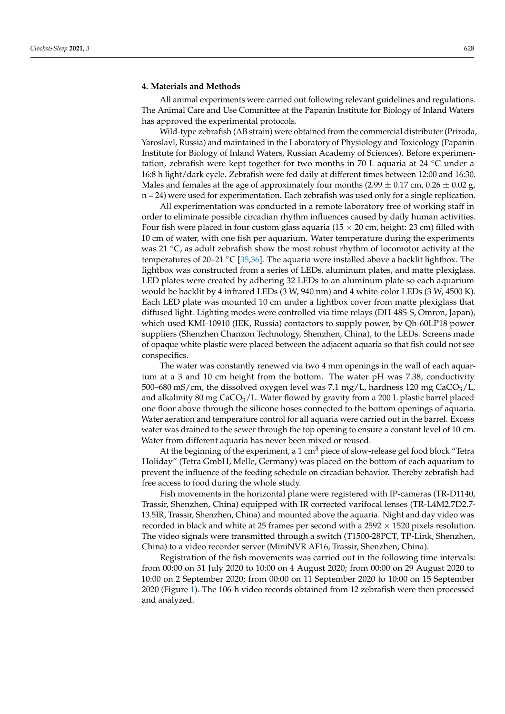## **4. Materials and Methods**

All animal experiments were carried out following relevant guidelines and regulations. The Animal Care and Use Committee at the Papanin Institute for Biology of Inland Waters has approved the experimental protocols.

Wild-type zebrafish (AB strain) were obtained from the commercial distributer (Priroda, Yaroslavl, Russia) and maintained in the Laboratory of Physiology and Toxicology (Papanin Institute for Biology of Inland Waters, Russian Academy of Sciences). Before experimentation, zebrafish were kept together for two months in 70 L aquaria at 24 ◦C under a 16:8 h light/dark cycle. Zebrafish were fed daily at different times between 12:00 and 16:30. Males and females at the age of approximately four months (2.99  $\pm$  0.17 cm, 0.26  $\pm$  0.02 g, n = 24) were used for experimentation. Each zebrafish was used only for a single replication.

All experimentation was conducted in a remote laboratory free of working staff in order to eliminate possible circadian rhythm influences caused by daily human activities. Four fish were placed in four custom glass aquaria ( $15 \times 20$  cm, height: 23 cm) filled with 10 cm of water, with one fish per aquarium. Water temperature during the experiments was 21  $\degree$ C, as adult zebrafish show the most robust rhythm of locomotor activity at the temperatures of 20–21 °C [\[35](#page-8-4)[,36\]](#page-8-5). The aquaria were installed above a backlit lightbox. The lightbox was constructed from a series of LEDs, aluminum plates, and matte plexiglass. LED plates were created by adhering 32 LEDs to an aluminum plate so each aquarium would be backlit by 4 infrared LEDs (3 W, 940 nm) and 4 white-color LEDs (3 W, 4500 K). Each LED plate was mounted 10 cm under a lightbox cover from matte plexiglass that diffused light. Lighting modes were controlled via time relays (DH-48S-S, Omron, Japan), which used KMI-10910 (IEK, Russia) contactors to supply power, by Qh-60LP18 power suppliers (Shenzhen Chanzon Technology, Shenzhen, China), to the LEDs. Screens made of opaque white plastic were placed between the adjacent aquaria so that fish could not see conspecifics.

The water was constantly renewed via two 4 mm openings in the wall of each aquarium at a 3 and 10 cm height from the bottom. The water pH was 7.38, conductivity 500–680 mS/cm, the dissolved oxygen level was 7.1 mg/L, hardness 120 mg CaCO<sub>3</sub>/L, and alkalinity 80 mg  $CaCO<sub>3</sub>/L$ . Water flowed by gravity from a 200 L plastic barrel placed one floor above through the silicone hoses connected to the bottom openings of aquaria. Water aeration and temperature control for all aquaria were carried out in the barrel. Excess water was drained to the sewer through the top opening to ensure a constant level of 10 cm. Water from different aquaria has never been mixed or reused.

At the beginning of the experiment, a 1 cm<sup>3</sup> piece of slow-release gel food block "Tetra Holiday" (Tetra GmbH, Melle, Germany) was placed on the bottom of each aquarium to prevent the influence of the feeding schedule on circadian behavior. Thereby zebrafish had free access to food during the whole study.

Fish movements in the horizontal plane were registered with IP-cameras (TR-D1140, Trassir, Shenzhen, China) equipped with IR corrected varifocal lenses (TR-L4M2.7D2.7- 13.5IR, Trassir, Shenzhen, China) and mounted above the aquaria. Night and day video was recorded in black and white at 25 frames per second with a 2592  $\times$  1520 pixels resolution. The video signals were transmitted through a switch (T1500-28PCT, TP-Link, Shenzhen, China) to a video recorder server (MiniNVR AF16, Trassir, Shenzhen, China).

Registration of the fish movements was carried out in the following time intervals: from 00:00 on 31 July 2020 to 10:00 on 4 August 2020; from 00:00 on 29 August 2020 to 10:00 on 2 September 2020; from 00:00 on 11 September 2020 to 10:00 on 15 September 2020 (Figure [1\)](#page-5-0). The 106-h video records obtained from 12 zebrafish were then processed and analyzed.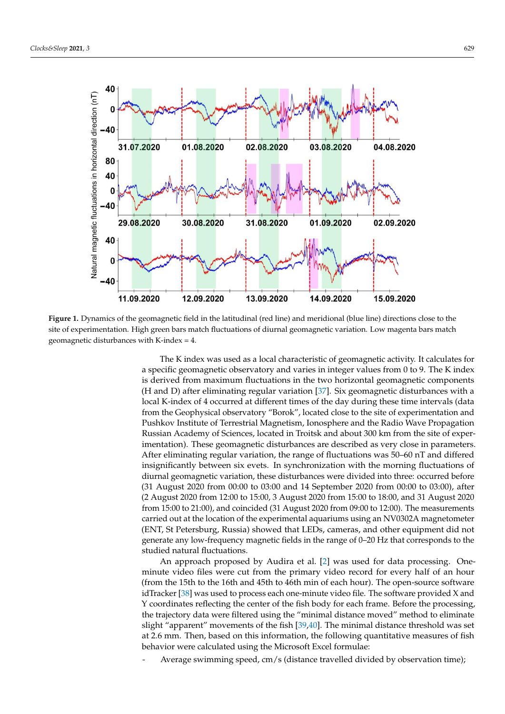<span id="page-5-0"></span>

**Figure 1.** Dynamics of the geomagnetic field in the latitudinal (red line) and meridional (blue line) directions close to the site of experimentation. High green bars match fluctuations of diurnal geomagnetic variation. Low magenta bars match geomagnetic disturbances with K-index = 4.

The K index was used as a local characteristic of geomagnetic activity. It calculates for a specific geomagnetic observatory and varies in integer values from 0 to 9. The K index is derived from maximum fluctuations in the two horizontal geomagnetic components (H and D) after eliminating regular variation [\[37\]](#page-8-6). Six geomagnetic disturbances with a local K-index of 4 occurred at different times of the day during these time intervals (data from the Geophysical observatory "Borok", located close to the site of experimentation and Pushkov Institute of Terrestrial Magnetism, Ionosphere and the Radio Wave Propagation Russian Academy of Sciences, located in Troitsk and about 300 km from the site of experimentation). These geomagnetic disturbances are described as very close in parameters. After eliminating regular variation, the range of fluctuations was 50–60 nT and differed insignificantly between six evets. In synchronization with the morning fluctuations of diurnal geomagnetic variation, these disturbances were divided into three: occurred before (31 August 2020 from 00:00 to 03:00 and 14 September 2020 from 00:00 to 03:00), after (2 August 2020 from 12:00 to 15:00, 3 August 2020 from 15:00 to 18:00, and 31 August 2020 from 15:00 to 21:00), and coincided (31 August 2020 from 09:00 to 12:00). The measurements carried out at the location of the experimental aquariums using an NV0302A magnetometer (ENT, St Petersburg, Russia) showed that LEDs, cameras, and other equipment did not generate any low-frequency magnetic fields in the range of 0–20 Hz that corresponds to the studied natural fluctuations.

An approach proposed by Audira et al. [\[2\]](#page-6-1) was used for data processing. Oneminute video files were cut from the primary video record for every half of an hour (from the 15th to the 16th and 45th to 46th min of each hour). The open-source software idTracker [\[38\]](#page-8-7) was used to process each one-minute video file. The software provided X and Y coordinates reflecting the center of the fish body for each frame. Before the processing, the trajectory data were filtered using the "minimal distance moved" method to eliminate slight "apparent" movements of the fish [\[39,](#page-8-8)[40\]](#page-8-9). The minimal distance threshold was set at 2.6 mm. Then, based on this information, the following quantitative measures of fish behavior were calculated using the Microsoft Excel formulae:

Average swimming speed, cm/s (distance travelled divided by observation time);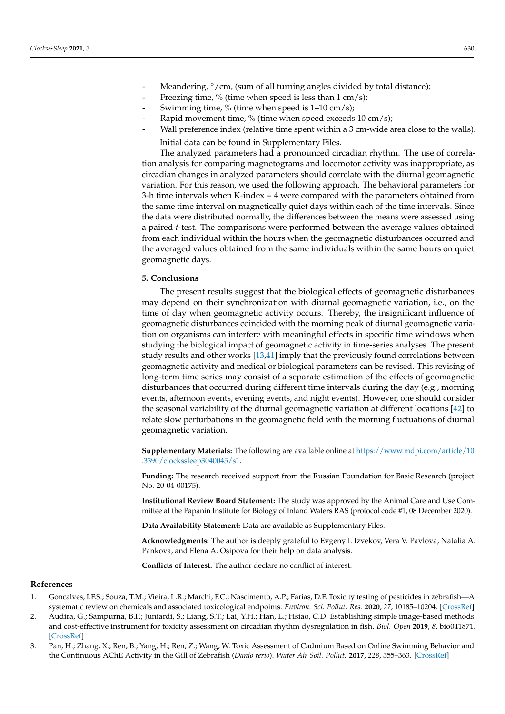- Meandering, ◦/cm, (sum of all turning angles divided by total distance);
- Freezing time, % (time when speed is less than 1 cm/s);
- Swimming time, % (time when speed is  $1-10$  cm/s);
- Rapid movement time, % (time when speed exceeds  $10 \text{ cm/s}$ );
	- Wall preference index (relative time spent within a 3 cm-wide area close to the walls). Initial data can be found in Supplementary Files.

The analyzed parameters had a pronounced circadian rhythm. The use of correlation analysis for comparing magnetograms and locomotor activity was inappropriate, as circadian changes in analyzed parameters should correlate with the diurnal geomagnetic variation. For this reason, we used the following approach. The behavioral parameters for 3-h time intervals when K-index = 4 were compared with the parameters obtained from the same time interval on magnetically quiet days within each of the time intervals. Since the data were distributed normally, the differences between the means were assessed using a paired *t*-test. The comparisons were performed between the average values obtained from each individual within the hours when the geomagnetic disturbances occurred and the averaged values obtained from the same individuals within the same hours on quiet geomagnetic days.

## **5. Conclusions**

The present results suggest that the biological effects of geomagnetic disturbances may depend on their synchronization with diurnal geomagnetic variation, i.e., on the time of day when geomagnetic activity occurs. Thereby, the insignificant influence of geomagnetic disturbances coincided with the morning peak of diurnal geomagnetic variation on organisms can interfere with meaningful effects in specific time windows when studying the biological impact of geomagnetic activity in time-series analyses. The present study results and other works [\[13,](#page-7-23)[41\]](#page-8-10) imply that the previously found correlations between geomagnetic activity and medical or biological parameters can be revised. This revising of long-term time series may consist of a separate estimation of the effects of geomagnetic disturbances that occurred during different time intervals during the day (e.g., morning events, afternoon events, evening events, and night events). However, one should consider the seasonal variability of the diurnal geomagnetic variation at different locations [\[42\]](#page-8-11) to relate slow perturbations in the geomagnetic field with the morning fluctuations of diurnal geomagnetic variation.

**Supplementary Materials:** The following are available online at [https://www.mdpi.com/article/10](https://www.mdpi.com/article/10.3390/clockssleep3040045/s1) [.3390/clockssleep3040045/s1.](https://www.mdpi.com/article/10.3390/clockssleep3040045/s1)

**Funding:** The research received support from the Russian Foundation for Basic Research (project No. 20-04-00175).

**Institutional Review Board Statement:** The study was approved by the Animal Care and Use Committee at the Papanin Institute for Biology of Inland Waters RAS (protocol code #1, 08 December 2020).

**Data Availability Statement:** Data are available as Supplementary Files.

**Acknowledgments:** The author is deeply grateful to Evgeny I. Izvekov, Vera V. Pavlova, Natalia A. Pankova, and Elena A. Osipova for their help on data analysis.

**Conflicts of Interest:** The author declare no conflict of interest.

### **References**

- <span id="page-6-0"></span>1. Goncalves, I.F.S.; Souza, T.M.; Vieira, L.R.; Marchi, F.C.; Nascimento, A.P.; Farias, D.F. Toxicity testing of pesticides in zebrafish—A systematic review on chemicals and associated toxicological endpoints. *Environ. Sci. Pollut. Res.* **2020**, *27*, 10185–10204. [\[CrossRef\]](http://doi.org/10.1007/s11356-020-07902-5)
- <span id="page-6-1"></span>2. Audira, G.; Sampurna, B.P.; Juniardi, S.; Liang, S.T.; Lai, Y.H.; Han, L.; Hsiao, C.D. Establishing simple image-based methods and cost-effective instrument for toxicity assessment on circadian rhythm dysregulation in fish. *Biol. Open* **2019**, *8*, bio041871. [\[CrossRef\]](http://doi.org/10.1242/bio.041871)
- 3. Pan, H.; Zhang, X.; Ren, B.; Yang, H.; Ren, Z.; Wang, W. Toxic Assessment of Cadmium Based on Online Swimming Behavior and the Continuous AChE Activity in the Gill of Zebrafish (*Danio rerio*). *Water Air Soil. Pollut.* **2017**, *228*, 355–363. [\[CrossRef\]](http://doi.org/10.1007/s11270-017-3540-0)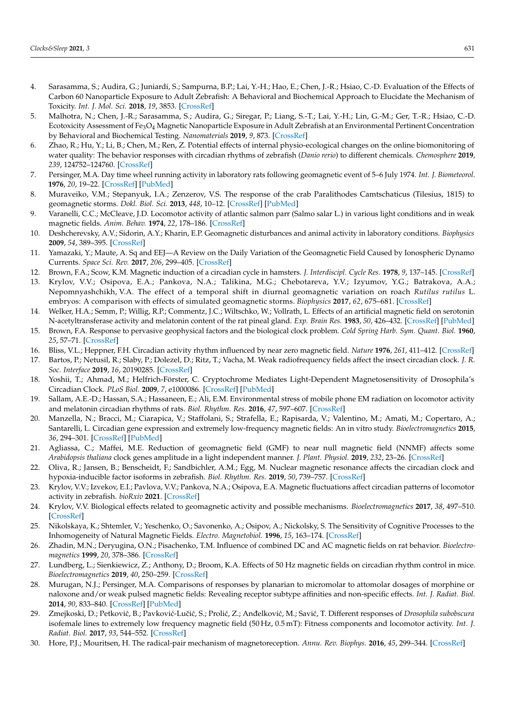- 4. Sarasamma, S.; Audira, G.; Juniardi, S.; Sampurna, B.P.; Lai, Y.-H.; Hao, E.; Chen, J.-R.; Hsiao, C.-D. Evaluation of the Effects of Carbon 60 Nanoparticle Exposure to Adult Zebrafish: A Behavioral and Biochemical Approach to Elucidate the Mechanism of Toxicity. *Int. J. Mol. Sci.* **2018**, *19*, 3853. [\[CrossRef\]](http://doi.org/10.3390/ijms19123853)
- 5. Malhotra, N.; Chen, J.-R.; Sarasamma, S.; Audira, G.; Siregar, P.; Liang, S.-T.; Lai, Y.-H.; Lin, G.-M.; Ger, T.-R.; Hsiao, C.-D. Ecotoxicity Assessment of Fe<sub>3</sub>O<sub>4</sub> Magnetic Nanoparticle Exposure in Adult Zebrafish at an Environmental Pertinent Concentration by Behavioral and Biochemical Testing. *Nanomaterials* **2019**, *9*, 873. [\[CrossRef\]](http://doi.org/10.3390/nano9060873)
- <span id="page-7-0"></span>6. Zhao, R.; Hu, Y.; Li, B.; Chen, M.; Ren, Z. Potential effects of internal physio-ecological changes on the online biomonitoring of water quality: The behavior responses with circadian rhythms of zebrafish (*Danio rerio*) to different chemicals. *Chemosphere* **2019**, *239*, 124752–124760. [\[CrossRef\]](http://doi.org/10.1016/j.chemosphere.2019.124752)
- <span id="page-7-1"></span>7. Persinger, M.A. Day time wheel running activity in laboratory rats following geomagnetic event of 5–6 July 1974. *Int. J. Biometeorol.* **1976**, *20*, 19–22. [\[CrossRef\]](http://doi.org/10.1007/BF01553167) [\[PubMed\]](http://www.ncbi.nlm.nih.gov/pubmed/977178)
- <span id="page-7-2"></span>8. Muraveiko, V.M.; Stepanyuk, I.A.; Zenzerov, V.S. The response of the crab Paralithodes Camtschaticus (Tilesius, 1815) to geomagnetic storms. *Dokl. Biol. Sci.* **2013**, *448*, 10–12. [\[CrossRef\]](http://doi.org/10.1134/S0012496613010183) [\[PubMed\]](http://www.ncbi.nlm.nih.gov/pubmed/23479009)
- <span id="page-7-3"></span>9. Varanelli, C.C.; McCleave, J.D. Locomotor activity of atlantic salmon parr (Salmo salar L.) in various light conditions and in weak magnetic fields. *Anim. Behav.* **1974**, *22*, 178–186. [\[CrossRef\]](http://doi.org/10.1016/S0003-3472(74)80067-9)
- <span id="page-7-4"></span>10. Deshcherevsky, A.V.; Sidorin, A.Y.; Kharin, E.P. Geomagnetic disturbances and animal activity in laboratory conditions. *Biophysics* **2009**, *54*, 389–395. [\[CrossRef\]](http://doi.org/10.1134/S0006350909030245)
- <span id="page-7-5"></span>11. Yamazaki, Y.; Maute, A. Sq and EEJ—A Review on the Daily Variation of the Geomagnetic Field Caused by Ionospheric Dynamo Currents. *Space Sci. Rev.* **2017**, *206*, 299–405. [\[CrossRef\]](http://doi.org/10.1007/s11214-016-0282-z)
- <span id="page-7-6"></span>12. Brown, F.A.; Scow, K.M. Magnetic induction of a circadian cycle in hamsters. *J. Interdiscipl. Cycle Res.* **1978**, *9*, 137–145. [\[CrossRef\]](http://doi.org/10.1080/09291017809359632)
- <span id="page-7-23"></span>13. Krylov, V.V.; Osipova, E.A.; Pankova, N.A.; Talikina, M.G.; Chebotareva, Y.V.; Izyumov, Y.G.; Batrakova, A.A.; Nepomnyashchikh, V.A. The effect of a temporal shift in diurnal geomagnetic variation on roach *Rutilus rutilus* L. embryos: A comparison with effects of simulated geomagnetic storms. *Biophysics* **2017**, *62*, 675–681. [\[CrossRef\]](http://doi.org/10.1134/S0006350917040121)
- <span id="page-7-7"></span>14. Welker, H.A.; Semm, P.; Willig, R.P.; Commentz, J.C.; Wiltschko, W.; Vollrath, L. Effects of an artificial magnetic field on serotonin N-acetyltransferase activity and melatonin content of the rat pineal gland. *Exp. Brain Res.* **1983**, *50*, 426–432. [\[CrossRef\]](http://doi.org/10.1007/BF00239209) [\[PubMed\]](http://www.ncbi.nlm.nih.gov/pubmed/6641877)
- <span id="page-7-8"></span>15. Brown, F.A. Response to pervasive geophysical factors and the biological clock problem. *Cold Spring Harb. Sym. Quant. Biol.* **1960**, *25*, 57–71. [\[CrossRef\]](http://doi.org/10.1101/SQB.1960.025.01.007)
- <span id="page-7-9"></span>16. Bliss, V.L.; Heppner, F.H. Circadian activity rhythm influenced by near zero magnetic field. *Nature* **1976**, *261*, 411–412. [\[CrossRef\]](http://doi.org/10.1038/261411a0)
- <span id="page-7-10"></span>17. Bartos, P.; Netusil, R.; Slaby, P.; Dolezel, D.; Ritz, T.; Vacha, M. Weak radiofrequency fields affect the insect circadian clock. *J. R. Soc. Interface* **2019**, *16*, 20190285. [\[CrossRef\]](http://doi.org/10.1098/rsif.2019.0285)
- <span id="page-7-11"></span>18. Yoshii, T.; Ahmad, M.; Helfrich-Förster, C. Cryptochrome Mediates Light-Dependent Magnetosensitivity of Drosophila's Circadian Clock. *PLoS Biol.* **2009**, *7*, e1000086. [\[CrossRef\]](http://doi.org/10.1371/journal.pbio.1000086) [\[PubMed\]](http://www.ncbi.nlm.nih.gov/pubmed/19355790)
- <span id="page-7-12"></span>19. Sallam, A.E.-D.; Hassan, S.A.; Hassaneen, E.; Ali, E.M. Environmental stress of mobile phone EM radiation on locomotor activity and melatonin circadian rhythms of rats. *Biol. Rhythm. Res.* **2016**, *47*, 597–607. [\[CrossRef\]](http://doi.org/10.1080/09291016.2016.1173361)
- <span id="page-7-13"></span>20. Manzella, N.; Bracci, M.; Ciarapica, V.; Staffolani, S.; Strafella, E.; Rapisarda, V.; Valentino, M.; Amati, M.; Copertaro, A.; Santarelli, L. Circadian gene expression and extremely low-frequency magnetic fields: An in vitro study. *Bioelectromagnetics* **2015**, *36*, 294–301. [\[CrossRef\]](http://doi.org/10.1002/bem.21915) [\[PubMed\]](http://www.ncbi.nlm.nih.gov/pubmed/25808738)
- <span id="page-7-14"></span>21. Agliassa, C.; Maffei, M.E. Reduction of geomagnetic field (GMF) to near null magnetic field (NNMF) affects some *Arabidopsis thaliana* clock genes amplitude in a light independent manner. *J. Plant. Physiol.* **2019**, *232*, 23–26. [\[CrossRef\]](http://doi.org/10.1016/j.jplph.2018.11.008)
- <span id="page-7-15"></span>22. Oliva, R.; Jansen, B.; Benscheidt, F.; Sandbichler, A.M.; Egg, M. Nuclear magnetic resonance affects the circadian clock and hypoxia-inducible factor isoforms in zebrafish. *Biol. Rhythm. Res.* **2019**, *50*, 739–757. [\[CrossRef\]](http://doi.org/10.1080/09291016.2018.1498194)
- <span id="page-7-16"></span>23. Krylov, V.V.; Izvekov, E.I.; Pavlova, V.V.; Pankova, N.A.; Osipova, E.A. Magnetic fluctuations affect circadian patterns of locomotor activity in zebrafish. *bioRxiv* **2021**. [\[CrossRef\]](http://doi.org/10.1101/2021.09.08.459369)
- <span id="page-7-17"></span>24. Krylov, V.V. Biological effects related to geomagnetic activity and possible mechanisms. *Bioelectromagnetics* **2017**, *38*, 497–510. [\[CrossRef\]](http://doi.org/10.1002/bem.22062)
- <span id="page-7-18"></span>25. Nikolskaya, K.; Shtemler, V.; Yeschenko, O.; Savonenko, A.; Osipov, A.; Nickolsky, S. The Sensitivity of Cognitive Processes to the Inhomogeneity of Natural Magnetic Fields. *Electro. Magnetobiol.* **1996**, *15*, 163–174. [\[CrossRef\]](http://doi.org/10.3109/15368379609012872)
- 26. Zhadin, M.N.; Deryugina, O.N.; Pisachenko, T.M. Influence of combined DC and AC magnetic fields on rat behavior. *Bioelectromagnetics* **1999**, *20*, 378–386. [\[CrossRef\]](http://doi.org/10.1002/(SICI)1521-186X(199909)20:6<378::AID-BEM7>3.0.CO;2-0)
- <span id="page-7-19"></span>27. Lundberg, L.; Sienkiewicz, Z.; Anthony, D.; Broom, K.A. Effects of 50 Hz magnetic fields on circadian rhythm control in mice. *Bioelectromagnetics* **2019**, *40*, 250–259. [\[CrossRef\]](http://doi.org/10.1002/bem.22188)
- <span id="page-7-20"></span>28. Murugan, N.J.; Persinger, M.A. Comparisons of responses by planarian to micromolar to attomolar dosages of morphine or naloxone and/or weak pulsed magnetic fields: Revealing receptor subtype affinities and non-specific effects. *Int. J. Radiat. Biol.* **2014**, *90*, 833–840. [\[CrossRef\]](http://doi.org/10.3109/09553002.2014.911421) [\[PubMed\]](http://www.ncbi.nlm.nih.gov/pubmed/24720710)
- <span id="page-7-21"></span>29. Zmejkoski, D.; Petković, B.; Pavković-Lučić, S.; Prolić, Z.; Anđelković, M.; Savić, T. Different responses of *Drosophila subobscura* isofemale lines to extremely low frequency magnetic field (50 Hz, 0.5 mT): Fitness components and locomotor activity. *Int. J. Radiat. Biol.* **2017**, *93*, 544–552. [\[CrossRef\]](http://doi.org/10.1080/09553002.2017.1268281)
- <span id="page-7-22"></span>30. Hore, P.J.; Mouritsen, H. The radical-pair mechanism of magnetoreception. *Annu. Rev. Biophys.* **2016**, *45*, 299–344. [\[CrossRef\]](http://doi.org/10.1146/annurev-biophys-032116-094545)